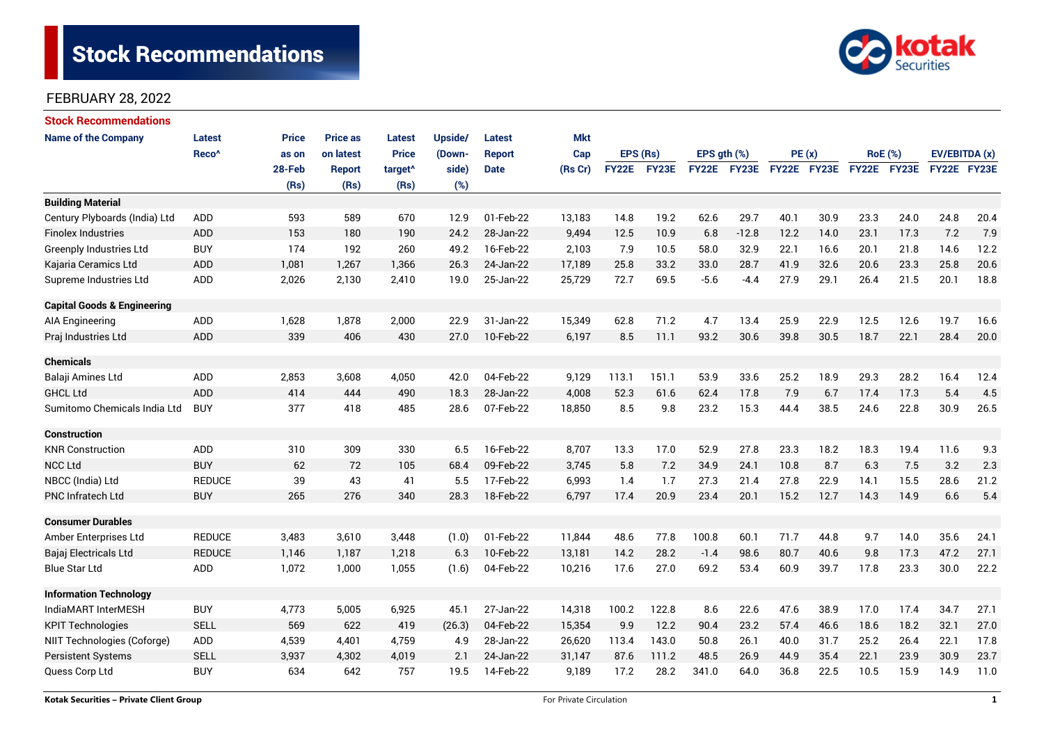# **Stock Recommendations**



### FEBRUARY 28, 2022

| <b>Stock Recommendations</b>           |                   |              |                 |                     |         |               |            |              |       |                  |                    |             |      |                |             |               |      |
|----------------------------------------|-------------------|--------------|-----------------|---------------------|---------|---------------|------------|--------------|-------|------------------|--------------------|-------------|------|----------------|-------------|---------------|------|
| <b>Name of the Company</b>             | Latest            | <b>Price</b> | <b>Price as</b> | <b>Latest</b>       | Upside/ | <b>Latest</b> | <b>Mkt</b> |              |       |                  |                    |             |      |                |             |               |      |
|                                        | Reco <sup>^</sup> | as on        | on latest       | <b>Price</b>        | (Down-  | <b>Report</b> | Cap        | EPS (Rs)     |       | EPS $gth$ $(\%)$ |                    | PE(x)       |      | <b>RoE</b> (%) |             | EV/EBITDA (x) |      |
|                                        |                   | 28-Feb       | <b>Report</b>   | target <sup>^</sup> | side)   | <b>Date</b>   | (Rs Cr)    | <b>FY22E</b> | FY23E |                  | <b>FY22E FY23E</b> | FY22E FY23E |      |                | FY22E FY23E | FY22E FY23E   |      |
|                                        |                   | (Rs)         | (Rs)            | (Rs)                | (%)     |               |            |              |       |                  |                    |             |      |                |             |               |      |
| <b>Building Material</b>               |                   |              |                 |                     |         |               |            |              |       |                  |                    |             |      |                |             |               |      |
| Century Plyboards (India) Ltd          | <b>ADD</b>        | 593          | 589             | 670                 | 12.9    | 01-Feb-22     | 13,183     | 14.8         | 19.2  | 62.6             | 29.7               | 40.1        | 30.9 | 23.3           | 24.0        | 24.8          | 20.4 |
| <b>Finolex Industries</b>              | <b>ADD</b>        | 153          | 180             | 190                 | 24.2    | 28-Jan-22     | 9,494      | 12.5         | 10.9  | 6.8              | $-12.8$            | 12.2        | 14.0 | 23.1           | 17.3        | 7.2           | 7.9  |
| <b>Greenply Industries Ltd</b>         | <b>BUY</b>        | 174          | 192             | 260                 | 49.2    | 16-Feb-22     | 2,103      | 7.9          | 10.5  | 58.0             | 32.9               | 22.1        | 16.6 | 20.1           | 21.8        | 14.6          | 12.2 |
| Kajaria Ceramics Ltd                   | <b>ADD</b>        | 1,081        | 1,267           | 1,366               | 26.3    | 24-Jan-22     | 17,189     | 25.8         | 33.2  | 33.0             | 28.7               | 41.9        | 32.6 | 20.6           | 23.3        | 25.8          | 20.6 |
| Supreme Industries Ltd                 | <b>ADD</b>        | 2,026        | 2,130           | 2,410               | 19.0    | 25-Jan-22     | 25,729     | 72.7         | 69.5  | $-5.6$           | $-4.4$             | 27.9        | 29.1 | 26.4           | 21.5        | 20.1          | 18.8 |
| <b>Capital Goods &amp; Engineering</b> |                   |              |                 |                     |         |               |            |              |       |                  |                    |             |      |                |             |               |      |
| AIA Engineering                        | ADD               | 1,628        | 1,878           | 2,000               | 22.9    | 31-Jan-22     | 15,349     | 62.8         | 71.2  | 4.7              | 13.4               | 25.9        | 22.9 | 12.5           | 12.6        | 19.7          | 16.6 |
| Praj Industries Ltd                    | ADD               | 339          | 406             | 430                 | 27.0    | 10-Feb-22     | 6,197      | 8.5          | 11.1  | 93.2             | 30.6               | 39.8        | 30.5 | 18.7           | 22.1        | 28.4          | 20.0 |
| <b>Chemicals</b>                       |                   |              |                 |                     |         |               |            |              |       |                  |                    |             |      |                |             |               |      |
| Balaji Amines Ltd                      | ADD               | 2,853        | 3,608           | 4,050               | 42.0    | 04-Feb-22     | 9,129      | 113.1        | 151.1 | 53.9             | 33.6               | 25.2        | 18.9 | 29.3           | 28.2        | 16.4          | 12.4 |
| <b>GHCL Ltd</b>                        | <b>ADD</b>        | 414          | 444             | 490                 | 18.3    | 28-Jan-22     | 4,008      | 52.3         | 61.6  | 62.4             | 17.8               | 7.9         | 6.7  | 17.4           | 17.3        | 5.4           | 4.5  |
| Sumitomo Chemicals India Ltd           | <b>BUY</b>        | 377          | 418             | 485                 | 28.6    | 07-Feb-22     | 18,850     | 8.5          | 9.8   | 23.2             | 15.3               | 44.4        | 38.5 | 24.6           | 22.8        | 30.9          | 26.5 |
| <b>Construction</b>                    |                   |              |                 |                     |         |               |            |              |       |                  |                    |             |      |                |             |               |      |
| <b>KNR Construction</b>                | ADD               | 310          | 309             | 330                 | 6.5     | 16-Feb-22     | 8,707      | 13.3         | 17.0  | 52.9             | 27.8               | 23.3        | 18.2 | 18.3           | 19.4        | 11.6          | 9.3  |
| <b>NCC Ltd</b>                         | <b>BUY</b>        | 62           | 72              | 105                 | 68.4    | 09-Feb-22     | 3,745      | 5.8          | 7.2   | 34.9             | 24.1               | 10.8        | 8.7  | 6.3            | 7.5         | 3.2           | 2.3  |
| NBCC (India) Ltd                       | <b>REDUCE</b>     | 39           | 43              | 41                  | 5.5     | 17-Feb-22     | 6,993      | 1.4          | 1.7   | 27.3             | 21.4               | 27.8        | 22.9 | 14.1           | 15.5        | 28.6          | 21.2 |
| <b>PNC Infratech Ltd</b>               | <b>BUY</b>        | 265          | 276             | 340                 | 28.3    | 18-Feb-22     | 6,797      | 17.4         | 20.9  | 23.4             | 20.1               | 15.2        | 12.7 | 14.3           | 14.9        | 6.6           | 5.4  |
| <b>Consumer Durables</b>               |                   |              |                 |                     |         |               |            |              |       |                  |                    |             |      |                |             |               |      |
| Amber Enterprises Ltd                  | <b>REDUCE</b>     | 3,483        | 3,610           | 3,448               | (1.0)   | 01-Feb-22     | 11,844     | 48.6         | 77.8  | 100.8            | 60.1               | 71.7        | 44.8 | 9.7            | 14.0        | 35.6          | 24.1 |
| Bajaj Electricals Ltd                  | <b>REDUCE</b>     | 1,146        | 1,187           | 1,218               | 6.3     | 10-Feb-22     | 13,181     | 14.2         | 28.2  | $-1.4$           | 98.6               | 80.7        | 40.6 | 9.8            | 17.3        | 47.2          | 27.1 |
| <b>Blue Star Ltd</b>                   | <b>ADD</b>        | 1,072        | 1,000           | 1,055               | (1.6)   | 04-Feb-22     | 10,216     | 17.6         | 27.0  | 69.2             | 53.4               | 60.9        | 39.7 | 17.8           | 23.3        | 30.0          | 22.2 |
| <b>Information Technology</b>          |                   |              |                 |                     |         |               |            |              |       |                  |                    |             |      |                |             |               |      |
| IndiaMART InterMESH                    | <b>BUY</b>        | 4,773        | 5,005           | 6,925               | 45.1    | 27-Jan-22     | 14,318     | 100.2        | 122.8 | 8.6              | 22.6               | 47.6        | 38.9 | 17.0           | 17.4        | 34.7          | 27.1 |
| <b>KPIT Technologies</b>               | <b>SELL</b>       | 569          | 622             | 419                 | (26.3)  | 04-Feb-22     | 15,354     | 9.9          | 12.2  | 90.4             | 23.2               | 57.4        | 46.6 | 18.6           | 18.2        | 32.1          | 27.0 |
| NIIT Technologies (Coforge)            | ADD               | 4,539        | 4,401           | 4,759               | 4.9     | 28-Jan-22     | 26,620     | 113.4        | 143.0 | 50.8             | 26.1               | 40.0        | 31.7 | 25.2           | 26.4        | 22.1          | 17.8 |
| <b>Persistent Systems</b>              | <b>SELL</b>       | 3,937        | 4,302           | 4,019               | 2.1     | 24-Jan-22     | 31,147     | 87.6         | 111.2 | 48.5             | 26.9               | 44.9        | 35.4 | 22.1           | 23.9        | 30.9          | 23.7 |
| Quess Corp Ltd                         | <b>BUY</b>        | 634          | 642             | 757                 | 19.5    | 14-Feb-22     | 9,189      | 17.2         | 28.2  | 341.0            | 64.0               | 36.8        | 22.5 | 10.5           | 15.9        | 14.9          | 11.0 |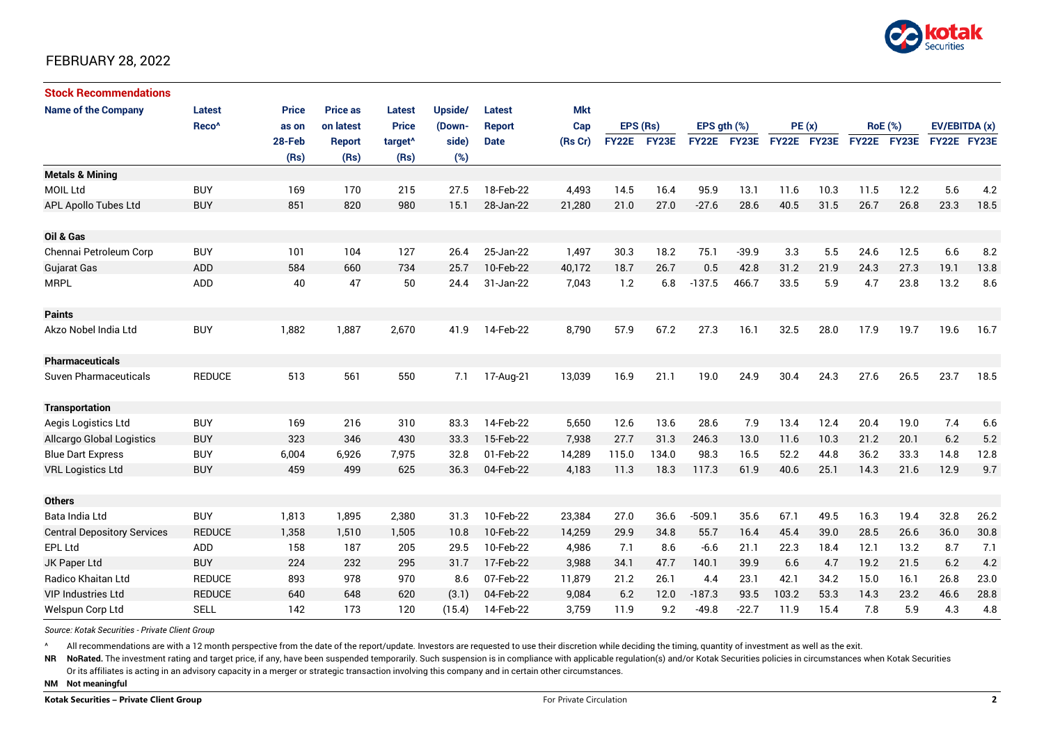

### FEBRUARY 28, 2022

| <b>Stock Recommendations</b>       |                   |              |                 |                     |         |               |         |             |       |               |             |             |      |                |      |               |      |
|------------------------------------|-------------------|--------------|-----------------|---------------------|---------|---------------|---------|-------------|-------|---------------|-------------|-------------|------|----------------|------|---------------|------|
| <b>Name of the Company</b>         | <b>Latest</b>     | <b>Price</b> | <b>Price as</b> | Latest              | Upside/ | Latest        | Mkt     |             |       |               |             |             |      |                |      |               |      |
|                                    | Reco <sup>^</sup> | as on        | on latest       | <b>Price</b>        | (Down-  | <b>Report</b> | Cap     | EPS (Rs)    |       | EPS $qth$ $%$ |             | PE(x)       |      | <b>RoE</b> (%) |      | EV/EBITDA (x) |      |
|                                    |                   | 28-Feb       | <b>Report</b>   | target <sup>^</sup> | side)   | <b>Date</b>   | (Rs Cr) | FY22E FY23E |       |               | FY22E FY23E | FY22E FY23E |      | FY22E FY23E    |      | FY22E FY23E   |      |
|                                    |                   | (Rs)         | (Rs)            | (Rs)                | (%)     |               |         |             |       |               |             |             |      |                |      |               |      |
| <b>Metals &amp; Mining</b>         |                   |              |                 |                     |         |               |         |             |       |               |             |             |      |                |      |               |      |
| <b>MOIL Ltd</b>                    | <b>BUY</b>        | 169          | 170             | 215                 | 27.5    | 18-Feb-22     | 4,493   | 14.5        | 16.4  | 95.9          | 13.1        | 11.6        | 10.3 | 11.5           | 12.2 | 5.6           | 4.2  |
| APL Apollo Tubes Ltd               | <b>BUY</b>        | 851          | 820             | 980                 | 15.1    | 28-Jan-22     | 21,280  | 21.0        | 27.0  | $-27.6$       | 28.6        | 40.5        | 31.5 | 26.7           | 26.8 | 23.3          | 18.5 |
| Oil & Gas                          |                   |              |                 |                     |         |               |         |             |       |               |             |             |      |                |      |               |      |
| Chennai Petroleum Corp             | <b>BUY</b>        | 101          | 104             | 127                 | 26.4    | 25-Jan-22     | 1,497   | 30.3        | 18.2  | 75.1          | $-39.9$     | 3.3         | 5.5  | 24.6           | 12.5 | 6.6           | 8.2  |
| <b>Gujarat Gas</b>                 | <b>ADD</b>        | 584          | 660             | 734                 | 25.7    | 10-Feb-22     | 40.172  | 18.7        | 26.7  | 0.5           | 42.8        | 31.2        | 21.9 | 24.3           | 27.3 | 19.1          | 13.8 |
| <b>MRPL</b>                        | <b>ADD</b>        | 40           | 47              | 50                  | 24.4    | 31-Jan-22     | 7,043   | 1.2         | 6.8   | $-137.5$      | 466.7       | 33.5        | 5.9  | 4.7            | 23.8 | 13.2          | 8.6  |
| <b>Paints</b>                      |                   |              |                 |                     |         |               |         |             |       |               |             |             |      |                |      |               |      |
| Akzo Nobel India Ltd               | <b>BUY</b>        | 1,882        | 1,887           | 2,670               | 41.9    | 14-Feb-22     | 8,790   | 57.9        | 67.2  | 27.3          | 16.1        | 32.5        | 28.0 | 17.9           | 19.7 | 19.6          | 16.7 |
| <b>Pharmaceuticals</b>             |                   |              |                 |                     |         |               |         |             |       |               |             |             |      |                |      |               |      |
| <b>Suven Pharmaceuticals</b>       | <b>REDUCE</b>     | 513          | 561             | 550                 | 7.1     | 17-Aug-21     | 13,039  | 16.9        | 21.1  | 19.0          | 24.9        | 30.4        | 24.3 | 27.6           | 26.5 | 23.7          | 18.5 |
| <b>Transportation</b>              |                   |              |                 |                     |         |               |         |             |       |               |             |             |      |                |      |               |      |
| Aegis Logistics Ltd                | <b>BUY</b>        | 169          | 216             | 310                 | 83.3    | 14-Feb-22     | 5,650   | 12.6        | 13.6  | 28.6          | 7.9         | 13.4        | 12.4 | 20.4           | 19.0 | 7.4           | 6.6  |
| Allcargo Global Logistics          | <b>BUY</b>        | 323          | 346             | 430                 | 33.3    | 15-Feb-22     | 7,938   | 27.7        | 31.3  | 246.3         | 13.0        | 11.6        | 10.3 | 21.2           | 20.1 | 6.2           | 5.2  |
| <b>Blue Dart Express</b>           | <b>BUY</b>        | 6,004        | 6,926           | 7,975               | 32.8    | 01-Feb-22     | 14,289  | 115.0       | 134.0 | 98.3          | 16.5        | 52.2        | 44.8 | 36.2           | 33.3 | 14.8          | 12.8 |
| <b>VRL Logistics Ltd</b>           | <b>BUY</b>        | 459          | 499             | 625                 | 36.3    | 04-Feb-22     | 4,183   | 11.3        | 18.3  | 117.3         | 61.9        | 40.6        | 25.1 | 14.3           | 21.6 | 12.9          | 9.7  |
| <b>Others</b>                      |                   |              |                 |                     |         |               |         |             |       |               |             |             |      |                |      |               |      |
| Bata India Ltd                     | <b>BUY</b>        | 1,813        | 1,895           | 2,380               | 31.3    | 10-Feb-22     | 23,384  | 27.0        | 36.6  | $-509.1$      | 35.6        | 67.1        | 49.5 | 16.3           | 19.4 | 32.8          | 26.2 |
| <b>Central Depository Services</b> | <b>REDUCE</b>     | 1,358        | 1.510           | 1,505               | 10.8    | 10-Feb-22     | 14,259  | 29.9        | 34.8  | 55.7          | 16.4        | 45.4        | 39.0 | 28.5           | 26.6 | 36.0          | 30.8 |
| EPL Ltd                            | <b>ADD</b>        | 158          | 187             | 205                 | 29.5    | 10-Feb-22     | 4,986   | 7.1         | 8.6   | $-6.6$        | 21.1        | 22.3        | 18.4 | 12.1           | 13.2 | 8.7           | 7.1  |
| JK Paper Ltd                       | <b>BUY</b>        | 224          | 232             | 295                 | 31.7    | 17-Feb-22     | 3,988   | 34.1        | 47.7  | 140.1         | 39.9        | 6.6         | 4.7  | 19.2           | 21.5 | 6.2           | 4.2  |
| Radico Khaitan Ltd                 | <b>REDUCE</b>     | 893          | 978             | 970                 | 8.6     | 07-Feb-22     | 11,879  | 21.2        | 26.1  | 4.4           | 23.1        | 42.1        | 34.2 | 15.0           | 16.1 | 26.8          | 23.0 |
| <b>VIP Industries Ltd</b>          | <b>REDUCE</b>     | 640          | 648             | 620                 | (3.1)   | 04-Feb-22     | 9,084   | 6.2         | 12.0  | $-187.3$      | 93.5        | 103.2       | 53.3 | 14.3           | 23.2 | 46.6          | 28.8 |
| Welspun Corp Ltd                   | <b>SELL</b>       | 142          | 173             | 120                 | (15.4)  | 14-Feb-22     | 3,759   | 11.9        | 9.2   | $-49.8$       | $-22.7$     | 11.9        | 15.4 | 7.8            | 5.9  | 4.3           | 4.8  |

*Source: Kotak Securities - Private Client Group*

All recommendations are with a 12 month perspective from the date of the report/update. Investors are requested to use their discretion while deciding the timing, quantity of investment as well as the exit.

NR NoRated. The investment rating and target price, if any, have been suspended temporarily. Such suspension is in compliance with applicable regulation(s) and/or Kotak Securities policies in circumstances when Kotak Secur

Or its affiliates is acting in an advisory capacity in a merger or strategic transaction involving this company and in certain other circumstances.

**NM Not meaningful**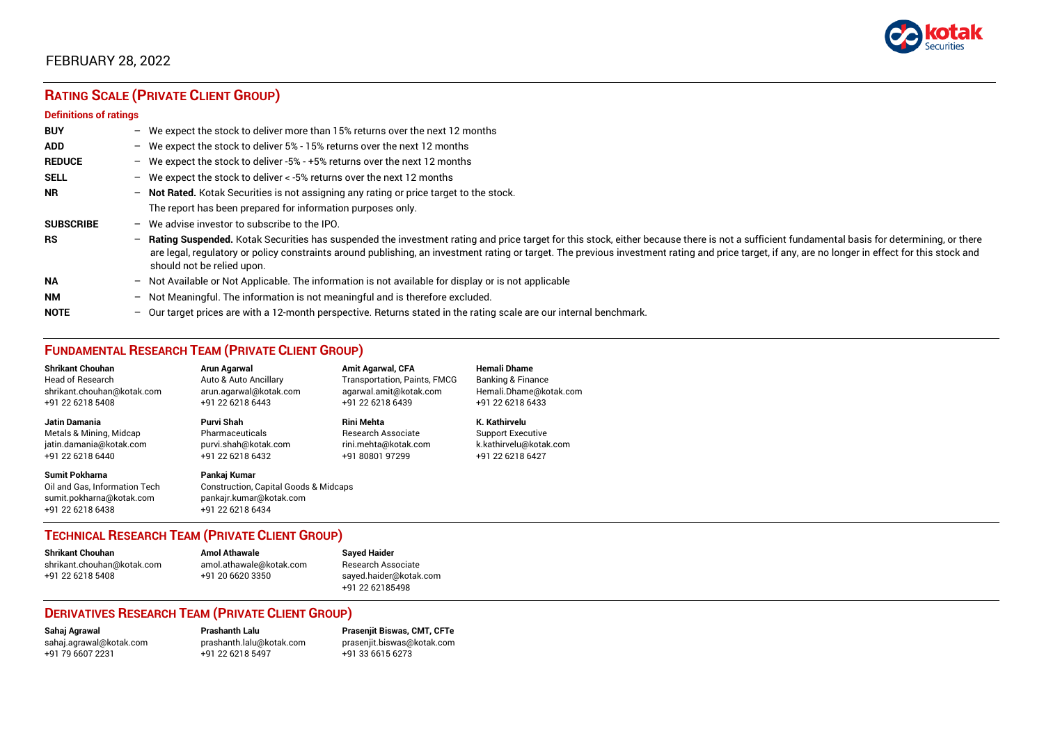

### FEBRUARY 28, 2022

## **RATING SCALE (PRIVATE CLIENT GROUP)**

#### **Definitions of ratings**

| <b>BUY</b>       |   | - We expect the stock to deliver more than 15% returns over the next 12 months                                                                                                                                                                                                                                                                                                                                                     |
|------------------|---|------------------------------------------------------------------------------------------------------------------------------------------------------------------------------------------------------------------------------------------------------------------------------------------------------------------------------------------------------------------------------------------------------------------------------------|
| <b>ADD</b>       |   | - We expect the stock to deliver 5% - 15% returns over the next 12 months                                                                                                                                                                                                                                                                                                                                                          |
| <b>REDUCE</b>    |   | - We expect the stock to deliver -5% - +5% returns over the next 12 months                                                                                                                                                                                                                                                                                                                                                         |
| <b>SELL</b>      |   | - We expect the stock to deliver $\lt$ -5% returns over the next 12 months                                                                                                                                                                                                                                                                                                                                                         |
| <b>NR</b>        |   | - Not Rated. Kotak Securities is not assigning any rating or price target to the stock.                                                                                                                                                                                                                                                                                                                                            |
|                  |   | The report has been prepared for information purposes only.                                                                                                                                                                                                                                                                                                                                                                        |
| <b>SUBSCRIBE</b> |   | $-$ We advise investor to subscribe to the IPO.                                                                                                                                                                                                                                                                                                                                                                                    |
| <b>RS</b>        |   | - Rating Suspended. Kotak Securities has suspended the investment rating and price target for this stock, either because there is not a sufficient fundamental basis for determining, or there<br>are legal, regulatory or policy constraints around publishing, an investment rating or target. The previous investment rating and price target, if any, are no longer in effect for this stock and<br>should not be relied upon. |
| <b>NA</b>        |   | $-$ Not Available or Not Applicable. The information is not available for display or is not applicable                                                                                                                                                                                                                                                                                                                             |
| <b>NM</b>        |   | - Not Meaningful. The information is not meaningful and is therefore excluded.                                                                                                                                                                                                                                                                                                                                                     |
| <b>NOTE</b>      | - | Our target prices are with a 12-month perspective. Returns stated in the rating scale are our internal benchmark.                                                                                                                                                                                                                                                                                                                  |

### **FUNDAMENTAL RESEARCH TEAM (PRIVATE CLIENT GROUP)**

| <b>Shrikant Chouhan</b>                                                                                | <b>Arun Agarwal</b>                                                                                             | <b>Amit Agarwal, CFA</b>            | <b>Hemali Dhame</b>      |
|--------------------------------------------------------------------------------------------------------|-----------------------------------------------------------------------------------------------------------------|-------------------------------------|--------------------------|
| <b>Head of Research</b>                                                                                | Auto & Auto Ancillary                                                                                           | <b>Transportation, Paints, FMCG</b> | Banking & Finance        |
| shrikant.chouhan@kotak.com                                                                             | arun.agarwal@kotak.com                                                                                          | agarwal.amit@kotak.com              | Hemali.Dhame@kotak.com   |
| +91 22 6218 5408                                                                                       | +91 22 6218 6443                                                                                                | +91 22 6218 6439                    | +91 22 6218 6433         |
| <b>Jatin Damania</b>                                                                                   | Purvi Shah                                                                                                      | <b>Rini Mehta</b>                   | K. Kathirvelu            |
| Metals & Mining, Midcap                                                                                | Pharmaceuticals                                                                                                 | <b>Research Associate</b>           | <b>Support Executive</b> |
| jatin.damania@kotak.com                                                                                | purvi.shah@kotak.com                                                                                            | rini.mehta@kotak.com                | k.kathirvelu@kotak.com   |
| +91 22 6218 6440                                                                                       | +91 22 6218 6432                                                                                                | +91 80801 97299                     | +91 22 6218 6427         |
| <b>Sumit Pokharna</b><br>Oil and Gas. Information Tech<br>sumit.pokharna@kotak.com<br>+91 22 6218 6438 | Pankaj Kumar<br><b>Construction, Capital Goods &amp; Midcaps</b><br>pankajr.kumar@kotak.com<br>+91 22 6218 6434 |                                     |                          |

#### **TECHNICAL RESEARCH TEAM (PRIVATE CLIENT GROUP)**

| <b>Shrikant Chouhan</b>    | <b>Amol Athawale</b>    |   |
|----------------------------|-------------------------|---|
| shrikant.chouhan@kotak.com | amol.athawale@kotak.com | F |
| +91 22 6218 5408           | +91 20 6620 3350        | S |
|                            |                         |   |

#### **Shrikant Chouhan Amol Athawale Sayed Haider** Research Associate [sayed.haider@kotak.com](mailto:sayed.haider@kotak.com) +91 22 62185498

#### **DERIVATIVES RESEARCH TEAM (PRIVATE CLIENT GROUP)**

[sahaj.agrawal@kotak.com](mailto:sahaj.agrawal@kotak.com) [prashanth.lalu@kotak.com](mailto:prashanth.lalu@kotak.com) [prasenjit.biswas@kotak.com](mailto:prasenjit.biswas@kotak.com) +91 22 6218 5497 +91 33 6615 6273

**Sahaj Agrawal Prashanth Lalu Prasenjit Biswas, CMT, CFTe**